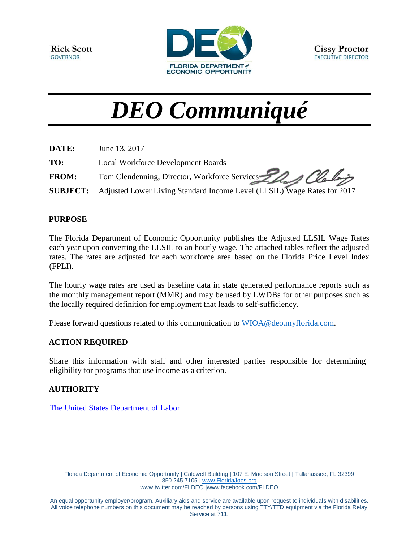

# *DEO Communiqué*

| DATE:        | June 13, 2017                                                                    |
|--------------|----------------------------------------------------------------------------------|
| TO:          | <b>Local Workforce Development Boards</b>                                        |
| <b>FROM:</b> | Tom Clendenning, Director, Workforce Services 22 Queles                          |
|              | SUBJECT: Adjusted Lower Living Standard Income Level (LLSIL) Wage Rates for 2017 |

## **PURPOSE**

The Florida Department of Economic Opportunity publishes the Adjusted LLSIL Wage Rates each year upon converting the LLSIL to an hourly wage. The attached tables reflect the adjusted rates. The rates are adjusted for each workforce area based on the Florida Price Level Index (FPLI).

The hourly wage rates are used as baseline data in state generated performance reports such as the monthly management report (MMR) and may be used by LWDBs for other purposes such as the locally required definition for employment that leads to self-sufficiency.

Please forward questions related to this communication to [WIOA@deo.myflorida.com.](mailto:WIOA@deo.myflorida.com)

## **ACTION REQUIRED**

Share this information with staff and other interested parties responsible for determining eligibility for programs that use income as a criterion.

## **AUTHORITY**

[The United States Department of Labor](https://www.gpo.gov/fdsys/pkg/FR-2017-05-23/pdf/2017-10496.pdf)

Florida Department of Economic Opportunity | Caldwell Building | 107 E. Madison Street | Tallahassee, FL 32399 850.245.7105 | [www.FloridaJobs.org](http://www.floridajobs.org/) [www.twitter.com/FLDEO](http://www.twitter.com/FLDEO) |www.facebook.com/FLDEO

An equal opportunity employer/program. Auxiliary aids and service are available upon request to individuals with disabilities. All voice telephone numbers on this document may be reached by persons using TTY/TTD equipment via the Florida Relay Service at 711.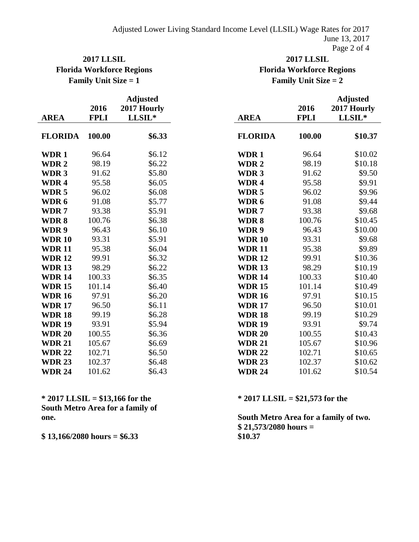# **2017 LLSIL 2017 LLSIL Florida Workforce Regions Florida Workforce Regions Family Unit Size = 1 Family Unit Size = 2**

| <b>AREA</b>      | 2016<br><b>FPLI</b> | <b>Adjusted</b><br>2017 Hourly<br>LLSIL* | <b>AREA</b>      | 2016<br><b>FPLI</b> | <b>Adjusted</b><br>2017 Hourly<br>LLSIL* |
|------------------|---------------------|------------------------------------------|------------------|---------------------|------------------------------------------|
| <b>FLORIDA</b>   | 100.00              | \$6.33                                   | <b>FLORIDA</b>   | 100.00              | \$10.37                                  |
| WDR1             | 96.64               | \$6.12                                   | WDR1             | 96.64               | \$10.02                                  |
| WDR <sub>2</sub> | 98.19               | \$6.22                                   | WDR <sub>2</sub> | 98.19               | \$10.18                                  |
| WDR <sub>3</sub> | 91.62               | \$5.80                                   | <b>WDR3</b>      | 91.62               | \$9.50                                   |
| WDR <sub>4</sub> | 95.58               | \$6.05                                   | WDR <sub>4</sub> | 95.58               | \$9.91                                   |
| WDR <sub>5</sub> | 96.02               | \$6.08                                   | WDR <sub>5</sub> | 96.02               | \$9.96                                   |
| WDR 6            | 91.08               | \$5.77                                   | WDR 6            | 91.08               | \$9.44                                   |
| WDR7             | 93.38               | \$5.91                                   | WDR7             | 93.38               | \$9.68                                   |
| WDR8             | 100.76              | \$6.38                                   | WDR8             | 100.76              | \$10.45                                  |
| WDR 9            | 96.43               | \$6.10                                   | WDR 9            | 96.43               | \$10.00                                  |
| <b>WDR10</b>     | 93.31               | \$5.91                                   | <b>WDR10</b>     | 93.31               | \$9.68                                   |
| <b>WDR11</b>     | 95.38               | \$6.04                                   | <b>WDR11</b>     | 95.38               | \$9.89                                   |
| <b>WDR12</b>     | 99.91               | \$6.32                                   | <b>WDR12</b>     | 99.91               | \$10.36                                  |
| <b>WDR13</b>     | 98.29               | \$6.22                                   | <b>WDR13</b>     | 98.29               | \$10.19                                  |
| <b>WDR14</b>     | 100.33              | \$6.35                                   | <b>WDR14</b>     | 100.33              | \$10.40                                  |
| <b>WDR15</b>     | 101.14              | \$6.40                                   | <b>WDR15</b>     | 101.14              | \$10.49                                  |
| <b>WDR16</b>     | 97.91               | \$6.20                                   | <b>WDR16</b>     | 97.91               | \$10.15                                  |
| <b>WDR17</b>     | 96.50               | \$6.11                                   | <b>WDR17</b>     | 96.50               | \$10.01                                  |
| <b>WDR18</b>     | 99.19               | \$6.28                                   | <b>WDR18</b>     | 99.19               | \$10.29                                  |
| <b>WDR19</b>     | 93.91               | \$5.94                                   | <b>WDR19</b>     | 93.91               | \$9.74                                   |
| <b>WDR 20</b>    | 100.55              | \$6.36                                   | <b>WDR 20</b>    | 100.55              | \$10.43                                  |
| <b>WDR 21</b>    | 105.67              | \$6.69                                   | <b>WDR 21</b>    | 105.67              | \$10.96                                  |
| <b>WDR22</b>     | 102.71              | \$6.50                                   | <b>WDR22</b>     | 102.71              | \$10.65                                  |
| <b>WDR23</b>     | 102.37              | \$6.48                                   | <b>WDR23</b>     | 102.37              | \$10.62                                  |
| <b>WDR 24</b>    | 101.62              | \$6.43                                   | <b>WDR 24</b>    | 101.62              | \$10.54                                  |

**\* 2017 LLSIL = \$13,166 for the \* 2017 LLSIL = \$21,573 for the South Metro Area for a family of** 

**\$ 13,166/2080 hours = \$6.33**

**one. South Metro Area for a family of two. \$ 21,573/2080 hours = \$10.37**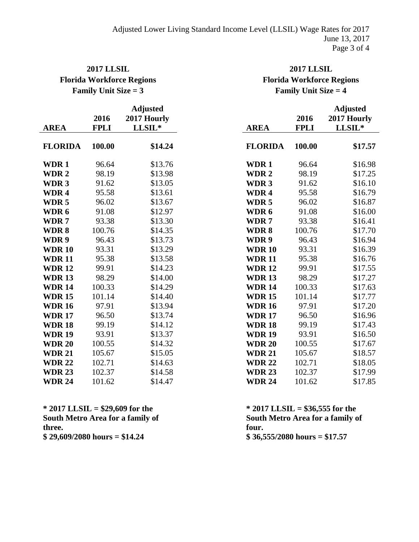# **2017 LLSIL 2017 LLSIL Florida Workforce Regions Florida Workforce Regions**

# **Family Unit Size = 3 Family Unit Size = 4**

**Adjusted Adjusted** 

|                  |             | <b>Adjusted</b> |  |  |
|------------------|-------------|-----------------|--|--|
|                  | 2016        | 2017 Hourly     |  |  |
| <b>AREA</b>      | <b>FPLI</b> | LLSIL*          |  |  |
| <b>FLORIDA</b>   | 100.00      | \$14.24         |  |  |
| WDR 1            | 96.64       | \$13.76         |  |  |
| WDR <sub>2</sub> | 98.19       | \$13.98         |  |  |
| WDR <sub>3</sub> | 91.62       | \$13.05         |  |  |
| WDR <sub>4</sub> | 95.58       | \$13.61         |  |  |
| WDR <sub>5</sub> | 96.02       | \$13.67         |  |  |
| WDR 6            | 91.08       | \$12.97         |  |  |
| WDR 7            | 93.38       | \$13.30         |  |  |
| WDR 8            | 100.76      | \$14.35         |  |  |
| WDR 9            | 96.43       | \$13.73         |  |  |
| <b>WDR10</b>     | 93.31       | \$13.29         |  |  |
| <b>WDR11</b>     | 95.38       | \$13.58         |  |  |
| <b>WDR12</b>     | 99.91       | \$14.23         |  |  |
| <b>WDR13</b>     | 98.29       | \$14.00         |  |  |
| <b>WDR14</b>     | 100.33      | \$14.29         |  |  |
| <b>WDR15</b>     | 101.14      | \$14.40         |  |  |
| <b>WDR16</b>     | 97.91       | \$13.94         |  |  |
| <b>WDR17</b>     | 96.50       | \$13.74         |  |  |
| <b>WDR18</b>     | 99.19       | \$14.12         |  |  |
| <b>WDR19</b>     | 93.91       | \$13.37         |  |  |
| <b>WDR 20</b>    | 100.55      | \$14.32         |  |  |
| <b>WDR 21</b>    | 105.67      | \$15.05         |  |  |
| <b>WDR22</b>     | 102.71      | \$14.63         |  |  |
| <b>WDR 23</b>    | 102.37      | \$14.58         |  |  |
| <b>WDR 24</b>    | 101.62      | \$14.47         |  |  |

| <b>AREA</b>   | 2016<br><b>FPLI</b> | 2017 Hourly<br>LLSIL* | <b>AREA</b>      | 2016<br><b>FPLI</b> | 2017 Hourly<br>LLSIL* |
|---------------|---------------------|-----------------------|------------------|---------------------|-----------------------|
| FLORIDA       | 100.00              | \$14.24               | <b>FLORIDA</b>   | 100.00              | \$17.57               |
| WDR 1         | 96.64               | \$13.76               | WDR1             | 96.64               | \$16.98               |
| <b>WDR 2</b>  | 98.19               | \$13.98               | WDR <sub>2</sub> | 98.19               | \$17.25               |
| WDR 3         | 91.62               | \$13.05               | WDR <sub>3</sub> | 91.62               | \$16.10               |
| WDR 4         | 95.58               | \$13.61               | WDR <sub>4</sub> | 95.58               | \$16.79               |
| WDR 5         | 96.02               | \$13.67               | WDR <sub>5</sub> | 96.02               | \$16.87               |
| WDR 6         | 91.08               | \$12.97               | WDR 6            | 91.08               | \$16.00               |
| WDR 7         | 93.38               | \$13.30               | WDR7             | 93.38               | \$16.41               |
| WDR 8         | 100.76              | \$14.35               | WDR8             | 100.76              | \$17.70               |
| WDR 9         | 96.43               | \$13.73               | WDR 9            | 96.43               | \$16.94               |
| <b>WDR 10</b> | 93.31               | \$13.29               | <b>WDR10</b>     | 93.31               | \$16.39               |
| <b>WDR11</b>  | 95.38               | \$13.58               | <b>WDR11</b>     | 95.38               | \$16.76               |
| <b>WDR 12</b> | 99.91               | \$14.23               | <b>WDR12</b>     | 99.91               | \$17.55               |
| <b>WDR 13</b> | 98.29               | \$14.00               | <b>WDR13</b>     | 98.29               | \$17.27               |
| <b>WDR 14</b> | 100.33              | \$14.29               | <b>WDR14</b>     | 100.33              | \$17.63               |
| <b>WDR 15</b> | 101.14              | \$14.40               | <b>WDR15</b>     | 101.14              | \$17.77               |
| <b>WDR 16</b> | 97.91               | \$13.94               | <b>WDR16</b>     | 97.91               | \$17.20               |
| <b>WDR 17</b> | 96.50               | \$13.74               | <b>WDR17</b>     | 96.50               | \$16.96               |
| <b>WDR18</b>  | 99.19               | \$14.12               | <b>WDR18</b>     | 99.19               | \$17.43               |
| <b>WDR 19</b> | 93.91               | \$13.37               | <b>WDR19</b>     | 93.91               | \$16.50               |
| <b>WDR 20</b> | 100.55              | \$14.32               | <b>WDR 20</b>    | 100.55              | \$17.67               |
| <b>WDR 21</b> | 105.67              | \$15.05               | <b>WDR 21</b>    | 105.67              | \$18.57               |
| <b>WDR 22</b> | 102.71              | \$14.63               | <b>WDR22</b>     | 102.71              | \$18.05               |
| <b>WDR 23</b> | 102.37              | \$14.58               | <b>WDR 23</b>    | 102.37              | \$17.99               |
| <b>WDR 24</b> | 101.62              | \$14.47               | <b>WDR 24</b>    | 101.62              | \$17.85               |

**\* 2017 LLSIL = \$29,609 for the \* 2017 LLSIL = \$36,555 for the South Metro Area for a family of three. \$ 29,609/2080 hours = \$14.24 \$ 36,555/2080 hours = \$17.57**

**South Metro Area for a family of four.**